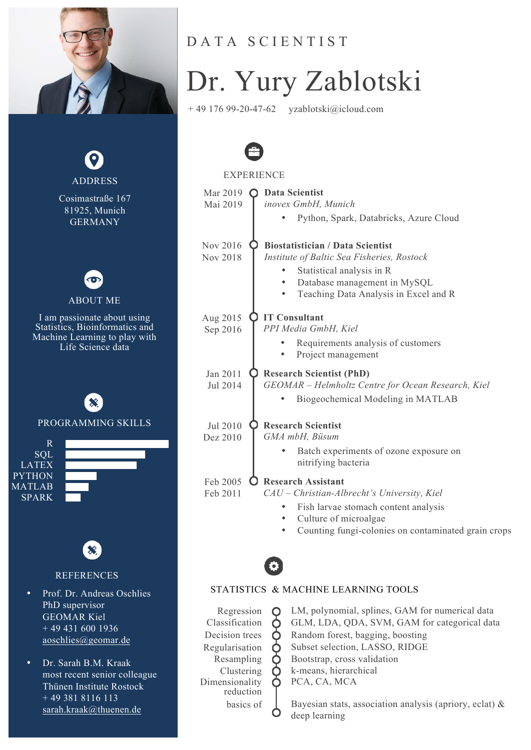



### DATA SCIENTIST

# Dr. Yury Zablotski

+ 49 176 99-20-47-62 yzablotski@icloud.com



#### **EXPERIENCE**

| Mar 2019       | <b>Data Scientist</b>                               |
|----------------|-----------------------------------------------------|
| Mai 2019       | inovex GmbH, Munich                                 |
|                | Python, Spark, Databricks, Azure Cloud              |
| Nov 2016       | <b>Biostatistician / Data Scientist</b>             |
| Nov 2018       | Institute of Baltic Sea Fisheries, Rostock          |
|                | Statistical analysis in R                           |
|                | Database management in MySQL                        |
|                | Teaching Data Analysis in Excel and R               |
| Aug 2015       | <b>IT Consultant</b>                                |
| Sep 2016       | PPI Media GmbH, Kiel                                |
|                | Requirements analysis of customers                  |
|                | Project management                                  |
| Jan 2011       | <b>Research Scientist (PhD)</b>                     |
| Jul 2014       | GEOMAR - Helmholtz Centre for Ocean Research, Kiel  |
|                | Biogeochemical Modeling in MATLAB                   |
| Jul 2010       | <b>Research Scientist</b>                           |
| Dez 2010       | GMA mbH, Büsum                                      |
|                | Batch experiments of ozone exposure on              |
|                | nitrifying bacteria                                 |
| Feb 2005       | <b>Research Assistant</b>                           |
| Feb 2011       | CAU - Christian-Albrecht's University, Kiel         |
|                | Fish larvae stomach content analysis                |
|                | Culture of microalgae                               |
|                | Counting fungi-colonies on contaminated grain crops |
|                |                                                     |
|                |                                                     |
|                | STATISTICS & MACHINE LEARNING TOOLS                 |
| Regression     | LM, polynomial, splines, GAM for numerical data     |
| Classification | GLM, LDA, QDA, SVM, GAM for categorical data        |
| Decision trees | Random forest, bagging, boosting                    |
| Regularisation | Subset selection, LASSO, RIDGE                      |
| Resampling     | Bootstrap, cross validation                         |

Clustering  $\bullet$  k-means, hierarchical

PCA, CA, MCA

Dimensionality reduction

> basics of  $\Box$  Bayesian stats, association analysis (apriory, eclat) & deep learning